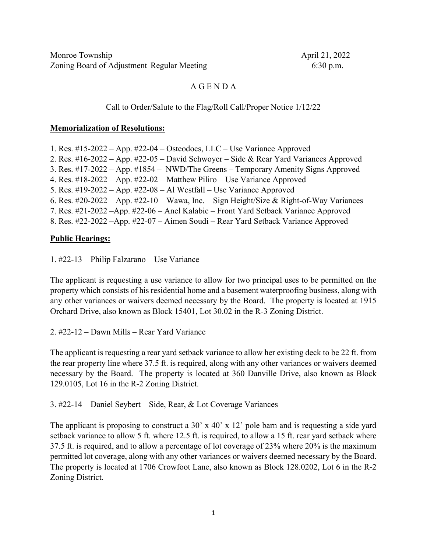# A G E N D A

### Call to Order/Salute to the Flag/Roll Call/Proper Notice 1/12/22

#### **Memorialization of Resolutions:**

1. Res. #15-2022 – App. #22-04 – Osteodocs, LLC – Use Variance Approved 2. Res. #16-2022 – App. #22-05 – David Schwoyer – Side & Rear Yard Variances Approved 3. Res. #17-2022 – App. #1854 – NWD/The Greens – Temporary Amenity Signs Approved 4. Res. #18-2022 – App. #22-02 – Matthew Piliro – Use Variance Approved 5. Res. #19-2022 – App. #22-08 – Al Westfall – Use Variance Approved 6. Res.  $\#20-2022 - App. \#22-10 - Wawa$ , Inc. – Sign Height/Size & Right-of-Way Variances 7. Res. #21-2022 –App. #22-06 – Anel Kalabic – Front Yard Setback Variance Approved 8. Res. #22-2022 –App. #22-07 – Aimen Soudi – Rear Yard Setback Variance Approved

### **Public Hearings:**

1. #22-13 – Philip Falzarano – Use Variance

The applicant is requesting a use variance to allow for two principal uses to be permitted on the property which consists of his residential home and a basement waterproofing business, along with any other variances or waivers deemed necessary by the Board. The property is located at 1915 Orchard Drive, also known as Block 15401, Lot 30.02 in the R-3 Zoning District.

2. #22-12 – Dawn Mills – Rear Yard Variance

The applicant is requesting a rear yard setback variance to allow her existing deck to be 22 ft. from the rear property line where 37.5 ft. is required, along with any other variances or waivers deemed necessary by the Board. The property is located at 360 Danville Drive, also known as Block 129.0105, Lot 16 in the R-2 Zoning District.

3. #22-14 – Daniel Seybert – Side, Rear, & Lot Coverage Variances

The applicant is proposing to construct a 30' x 40' x 12' pole barn and is requesting a side yard setback variance to allow 5 ft. where 12.5 ft. is required, to allow a 15 ft. rear yard setback where 37.5 ft. is required, and to allow a percentage of lot coverage of 23% where 20% is the maximum permitted lot coverage, along with any other variances or waivers deemed necessary by the Board. The property is located at 1706 Crowfoot Lane, also known as Block 128.0202, Lot 6 in the R-2 Zoning District.